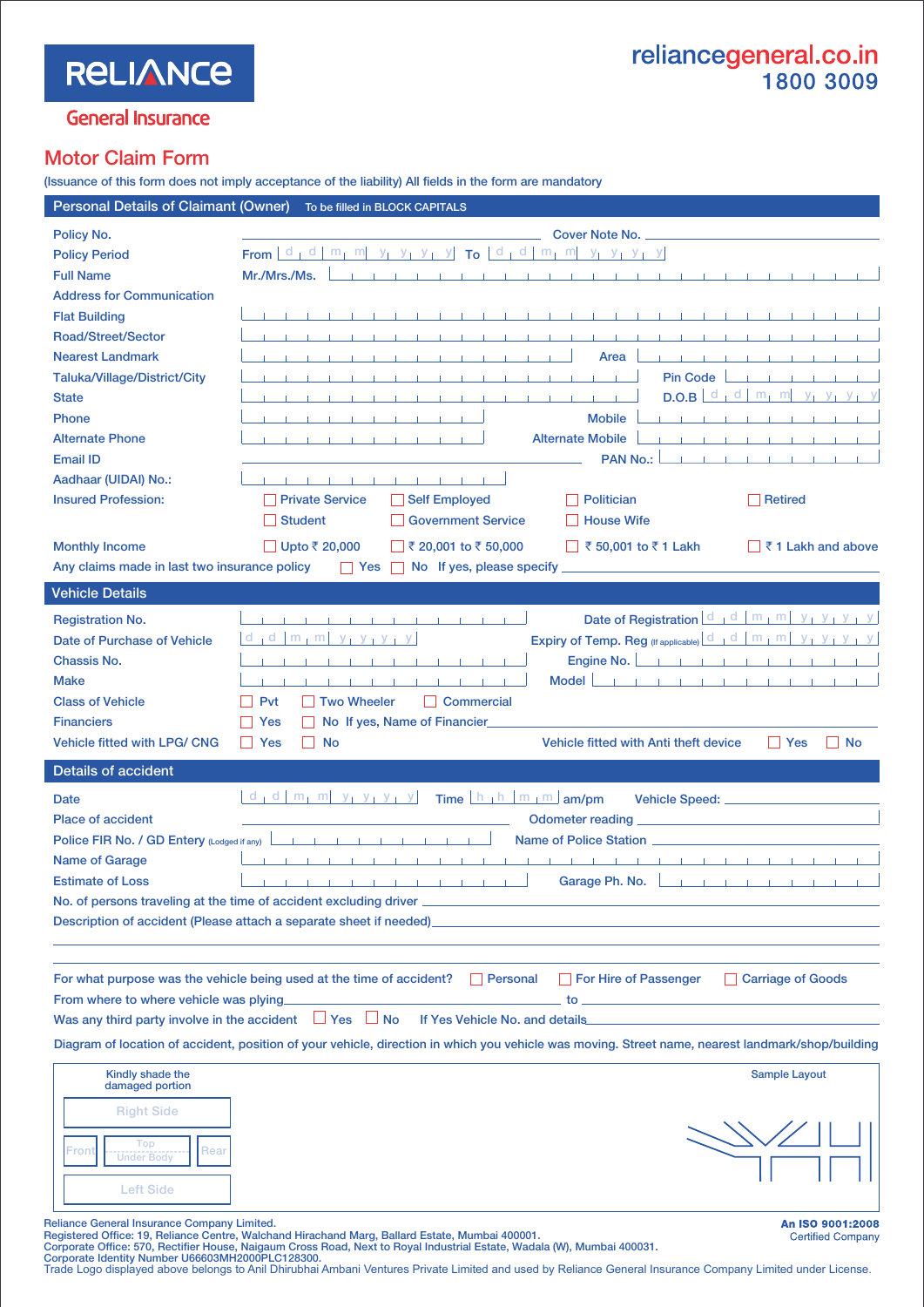# **RELIANCE**

# reliancegeneral.co.in<br>1800 3009

**General Insurance** 

#### Motor Claim Form

(Issuance of this form does not imply acceptance of the liability) All fields in the form are mandatory

| Personal Details of Claimant (Owner)         | To be filled in BLOCK CAPITALS                                                                                                                                                                                                       |                                                                                          |                                             |
|----------------------------------------------|--------------------------------------------------------------------------------------------------------------------------------------------------------------------------------------------------------------------------------------|------------------------------------------------------------------------------------------|---------------------------------------------|
|                                              |                                                                                                                                                                                                                                      |                                                                                          |                                             |
| Policy No.                                   |                                                                                                                                                                                                                                      | Cover Note No. _                                                                         |                                             |
| <b>Policy Period</b>                         | From $d_1 d   m_1 m   y_1 y_1 y_1 y_1$ To $d_1 d   m_1 m  $                                                                                                                                                                          | $y_1$ $y_1$ $y_1$ $y_1$                                                                  |                                             |
| <b>Full Name</b>                             | Mr./Mrs./Ms.                                                                                                                                                                                                                         |                                                                                          |                                             |
| <b>Address for Communication</b>             |                                                                                                                                                                                                                                      |                                                                                          |                                             |
| <b>Flat Building</b>                         |                                                                                                                                                                                                                                      |                                                                                          |                                             |
| <b>Road/Street/Sector</b>                    |                                                                                                                                                                                                                                      |                                                                                          |                                             |
| <b>Nearest Landmark</b>                      |                                                                                                                                                                                                                                      | Area                                                                                     |                                             |
| Taluka/Village/District/City                 |                                                                                                                                                                                                                                      | <b>Pin Code</b>                                                                          |                                             |
| <b>State</b>                                 |                                                                                                                                                                                                                                      | $d_1 d$<br>D.O.B                                                                         | m <sub>1</sub><br>m<br>$y_1$<br>$y_1$       |
| <b>Phone</b>                                 |                                                                                                                                                                                                                                      | <b>Mobile</b>                                                                            |                                             |
| <b>Alternate Phone</b>                       |                                                                                                                                                                                                                                      | <b>Alternate Mobile</b>                                                                  |                                             |
| <b>Email ID</b>                              |                                                                                                                                                                                                                                      | <b>PAN No.:</b>                                                                          |                                             |
| Aadhaar (UIDAI) No.:                         | $-1$                                                                                                                                                                                                                                 |                                                                                          |                                             |
| <b>Insured Profession:</b>                   | <b>Private Service</b><br><b>Self Employed</b>                                                                                                                                                                                       | Politician                                                                               | Retired                                     |
|                                              | <b>Student</b><br><b>Government Service</b>                                                                                                                                                                                          | <b>House Wife</b>                                                                        |                                             |
|                                              |                                                                                                                                                                                                                                      |                                                                                          |                                             |
| <b>Monthly Income</b>                        | Upto ₹ 20,000<br>₹ 20,001 to ₹ 50,000                                                                                                                                                                                                | ₹ 50,001 to ₹ 1 Lakh                                                                     | ₹1 Lakh and above                           |
| Any claims made in last two insurance policy | No If yes, please specify<br>$\Box$ Yes                                                                                                                                                                                              |                                                                                          |                                             |
| <b>Vehicle Details</b>                       |                                                                                                                                                                                                                                      |                                                                                          |                                             |
| <b>Registration No.</b>                      |                                                                                                                                                                                                                                      | Date of Registration $\lfloor d \rfloor d \lfloor m_1 m \rfloor y_1 y_1 y_2$             |                                             |
| Date of Purchase of Vehicle                  | d<br>$\lfloor m_1 m \rfloor$<br>$Y_1$ $Y_2$ $Y_3$ $Y_4$<br>d                                                                                                                                                                         | <b>Expiry of Temp.</b> Reg (If applicable) $\boxed{d_1 d   m_1 m   y_1 y_2 y_1 y_2 y_2}$ |                                             |
| Chassis No.                                  |                                                                                                                                                                                                                                      | Engine No.<br>The Charles County                                                         |                                             |
| <b>Make</b>                                  |                                                                                                                                                                                                                                      | Model                                                                                    |                                             |
| <b>Class of Vehicle</b>                      | <b>Two Wheeler</b><br>  Commercial<br>Pvt                                                                                                                                                                                            |                                                                                          |                                             |
|                                              |                                                                                                                                                                                                                                      |                                                                                          |                                             |
| <b>Financiers</b>                            | No If yes, Name of Financier<br>Yes                                                                                                                                                                                                  |                                                                                          |                                             |
| <b>Vehicle fitted with LPG/ CNG</b>          | No<br>Yes                                                                                                                                                                                                                            | Vehicle fitted with Anti theft device                                                    | Yes<br><b>No</b><br>$\Box$                  |
| <b>Details of accident</b>                   |                                                                                                                                                                                                                                      |                                                                                          |                                             |
| Date                                         | $d_1 d   m_1 m   y_1 y_1 y_2$<br>Time $\lfloor h \rfloor \lfloor h \rfloor \lfloor m \rfloor \lfloor m \rfloor$ am/pm                                                                                                                | Vehicle Speed: _                                                                         |                                             |
| <b>Place of accident</b>                     |                                                                                                                                                                                                                                      | <b>Odometer reading</b>                                                                  | <u> 1989 - Jan Barbara Barbara, masa ka</u> |
| Police FIR No. / GD Entery (Lodged if any)   |                                                                                                                                                                                                                                      | <b>Name of Police Station</b>                                                            |                                             |
| <b>Name of Garage</b>                        |                                                                                                                                                                                                                                      |                                                                                          |                                             |
| <b>Estimate of Loss</b>                      | <u> 1                                 Garage Ph. No.        </u>                                                                                                                                                                     |                                                                                          |                                             |
|                                              |                                                                                                                                                                                                                                      |                                                                                          |                                             |
|                                              |                                                                                                                                                                                                                                      |                                                                                          |                                             |
|                                              | Description of accident (Please attach a separate sheet if needed) <b>Contract and Contract and Contract and Contract and Contract and Contract and Contract and Contract and Contract and Contract and Contract and Contract an</b> |                                                                                          |                                             |
|                                              |                                                                                                                                                                                                                                      |                                                                                          |                                             |
|                                              | For what purpose was the vehicle being used at the time of accident? <b>Personal</b> For Hire of Passenger Carriage of Goods                                                                                                         |                                                                                          |                                             |
| From where to where vehicle was plying_      |                                                                                                                                                                                                                                      |                                                                                          |                                             |
|                                              | Was any third party involve in the accident $\Box$ Yes $\Box$ No If Yes Vehicle No. and details                                                                                                                                      |                                                                                          |                                             |
|                                              |                                                                                                                                                                                                                                      |                                                                                          |                                             |
|                                              | Diagram of location of accident, position of your vehicle, direction in which you vehicle was moving. Street name, nearest landmark/shop/building                                                                                    |                                                                                          |                                             |
| Kindly shade the                             |                                                                                                                                                                                                                                      |                                                                                          | <b>Sample Layout</b>                        |
| damaged portion                              |                                                                                                                                                                                                                                      |                                                                                          |                                             |
| <b>Right Side</b>                            |                                                                                                                                                                                                                                      |                                                                                          |                                             |
|                                              |                                                                                                                                                                                                                                      |                                                                                          |                                             |
| Top<br>Rear<br>-ron <sup>.</sup>             |                                                                                                                                                                                                                                      |                                                                                          |                                             |
| <b>Under Body</b>                            |                                                                                                                                                                                                                                      |                                                                                          |                                             |
| <b>Left Side</b>                             |                                                                                                                                                                                                                                      |                                                                                          |                                             |
|                                              |                                                                                                                                                                                                                                      |                                                                                          |                                             |
|                                              |                                                                                                                                                                                                                                      |                                                                                          |                                             |

Reliance General Insurance Company Limited.<br>Registered Office: 19, Reliance Centre, Walchand Hirachand Marg, Ballard Estate, Mumbai 400001. [201]<br>Corporate Office: 570, Rectifier House, Nalgaum Cross Road, Next to Royal In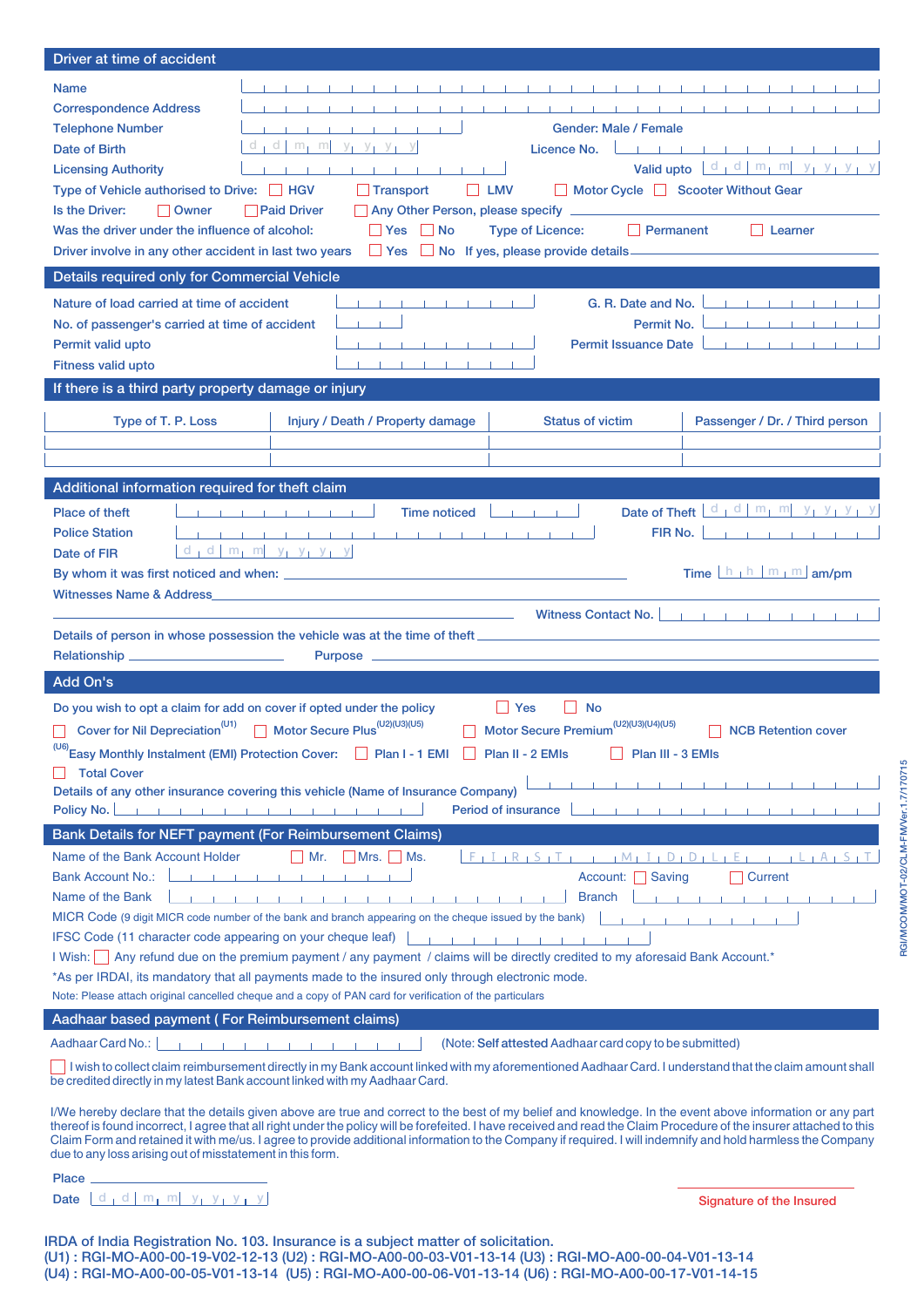| Driver at time of accident                                                                                                                                                                                                                                                                                                                                                                                                                                                                                                                                                                                                                                                                                                                                                                                                                                                                                                                                                                                                                                                                                                                                                                                                                  |
|---------------------------------------------------------------------------------------------------------------------------------------------------------------------------------------------------------------------------------------------------------------------------------------------------------------------------------------------------------------------------------------------------------------------------------------------------------------------------------------------------------------------------------------------------------------------------------------------------------------------------------------------------------------------------------------------------------------------------------------------------------------------------------------------------------------------------------------------------------------------------------------------------------------------------------------------------------------------------------------------------------------------------------------------------------------------------------------------------------------------------------------------------------------------------------------------------------------------------------------------|
| <b>Name</b><br>and the control of the con-<br><b>Correspondence Address</b><br>and the control of the con-<br>and the control of the con-<br><b>Telephone Number</b><br>Gender: Male / Female<br><b>The Committee of the Committee of the Committee of the Committee of the Committee of the Committee of the Committee</b><br>$d_1 d$   $m_1$ $m_1$ $y_1$ $y_1$ $y_1$ $y_2$<br>Date of Birth<br>Licence No.<br>$-1 - 1 - 1$<br>and the contract of the con-<br>Valid upto $d_1 d   m_1 m   y_1 y_1 y_1 y_2$<br><b>Licensing Authority</b><br>Type of Vehicle authorised to Drive: Fig. HGV<br>    LMV<br>Motor Cycle Scooter Without Gear<br>$\Box$ Transport<br>Is the Driver:<br>$\Box$ Owner<br>Any Other Person, please specify<br><b>Paid Driver</b><br>Was the driver under the influence of alcohol:<br>l lYes<br>$\overline{\phantom{a}}$ No<br><b>Type of Licence:</b><br>  Permanent<br>Learner<br>Driver involve in any other accident in last two years<br>$\Box$ Yes $\Box$ No If yes, please provide details<br>Details required only for Commercial Vehicle<br>Nature of load carried at time of accident<br>the contract of the con-<br>G. R. Date and No.<br>No. of passenger's carried at time of accident<br>Permit No. |
| <b>The contract of the contract of the contract of the contract of the contract of the contract of the contract of the contract of the contract of the contract of the contract of the contract of the contract of the contract </b><br>Permit valid upto<br>Permit Issuance Date<br>$1 - 1 - 1$<br>the contract of the contract of                                                                                                                                                                                                                                                                                                                                                                                                                                                                                                                                                                                                                                                                                                                                                                                                                                                                                                         |
| <b>Fitness valid upto</b><br>If there is a third party property damage or injury                                                                                                                                                                                                                                                                                                                                                                                                                                                                                                                                                                                                                                                                                                                                                                                                                                                                                                                                                                                                                                                                                                                                                            |
|                                                                                                                                                                                                                                                                                                                                                                                                                                                                                                                                                                                                                                                                                                                                                                                                                                                                                                                                                                                                                                                                                                                                                                                                                                             |
| Type of T. P. Loss<br>Injury / Death / Property damage<br><b>Status of victim</b><br>Passenger / Dr. / Third person                                                                                                                                                                                                                                                                                                                                                                                                                                                                                                                                                                                                                                                                                                                                                                                                                                                                                                                                                                                                                                                                                                                         |
|                                                                                                                                                                                                                                                                                                                                                                                                                                                                                                                                                                                                                                                                                                                                                                                                                                                                                                                                                                                                                                                                                                                                                                                                                                             |
| Additional information required for theft claim                                                                                                                                                                                                                                                                                                                                                                                                                                                                                                                                                                                                                                                                                                                                                                                                                                                                                                                                                                                                                                                                                                                                                                                             |
| the contract of the contract of the<br><b>Time noticed</b><br><b>Place of theft</b><br>The Change of<br><b>Police Station</b><br>FIR No.<br><b>Contract of the contract of the contract of the contract of the contract of the contract of the contract of the contract of the contract of the contract of the contract of the contract of the contract of the contract of t</b><br>$d_1$ d   m <sub>1</sub> m   y <sub>1</sub> y <sub>1</sub> y <sub>1</sub> y<br>Date of FIR<br>Time $\lfloor h \rfloor \lfloor m \rfloor \lfloor m \rfloor$ am/pm<br><b>Witnesses Name &amp; Address</b><br>Witness Contact No.  <br>the contract of the contract of                                                                                                                                                                                                                                                                                                                                                                                                                                                                                                                                                                                     |
| Details of person in whose possession the vehicle was at the time of theft _____________                                                                                                                                                                                                                                                                                                                                                                                                                                                                                                                                                                                                                                                                                                                                                                                                                                                                                                                                                                                                                                                                                                                                                    |
| <b>Purpose</b>                                                                                                                                                                                                                                                                                                                                                                                                                                                                                                                                                                                                                                                                                                                                                                                                                                                                                                                                                                                                                                                                                                                                                                                                                              |
| Add On's                                                                                                                                                                                                                                                                                                                                                                                                                                                                                                                                                                                                                                                                                                                                                                                                                                                                                                                                                                                                                                                                                                                                                                                                                                    |
| Do you wish to opt a claim for add on cover if opted under the policy<br>Yes<br><b>No</b><br>Motor Secure Plus <sup>(U2)(U3)(U5)</sup><br>(U2)(U3)(U4)(U5)<br>Cover for Nil Depreciation <sup>(U1)</sup><br>П<br><b>Motor Secure Premium</b><br><b>NCB Retention cover</b><br>Easy Monthly Instalment (EMI) Protection Cover:<br>Plan III - 3 EMIs<br>Plan I - 1 EMI<br>Plan II - 2 EMIs<br><b>Total Cover</b><br>Details of any other insurance covering this vehicle (Name of Insurance Company)<br>The contract of the contract of the contract of the contract of the contract of the contract of the contract of<br>Policy No.<br>Period of insurance<br>the control of the control of the con-                                                                                                                                                                                                                                                                                                                                                                                                                                                                                                                                        |
| Bank Details for NEFT payment (For Reimbursement Claims)                                                                                                                                                                                                                                                                                                                                                                                                                                                                                                                                                                                                                                                                                                                                                                                                                                                                                                                                                                                                                                                                                                                                                                                    |
| $\Box$ Mr. $\Box$ Mrs. $\Box$ Ms.<br>Name of the Bank Account Holder<br>$F_1 I_1 R_1 S_1 T_1$ , $[M_1 I_1 D_1 D_1 L_1 E_1$ , $L_1 A_1 S_1 T_1$<br>.<br><b>Bank Account No.:</b><br>$\Box$ Current<br>Account: Saving<br>the contract of the contract of the<br><b>Branch</b><br>Name of the Bank<br>MICR Code (9 digit MICR code number of the bank and branch appearing on the cheque issued by the bank)<br>IFSC Code (11 character code appearing on your cheque leaf)<br>the contract of the contract of                                                                                                                                                                                                                                                                                                                                                                                                                                                                                                                                                                                                                                                                                                                                |
| I Wish:   Any refund due on the premium payment / any payment / claims will be directly credited to my aforesaid Bank Account.*<br>*As per IRDAI, its mandatory that all payments made to the insured only through electronic mode.<br>Note: Please attach original cancelled cheque and a copy of PAN card for verification of the particulars                                                                                                                                                                                                                                                                                                                                                                                                                                                                                                                                                                                                                                                                                                                                                                                                                                                                                             |
| Aadhaar based payment (For Reimbursement claims)                                                                                                                                                                                                                                                                                                                                                                                                                                                                                                                                                                                                                                                                                                                                                                                                                                                                                                                                                                                                                                                                                                                                                                                            |
| Aadhaar Card No.:<br>(Note: Self attested Aadhaar card copy to be submitted)<br>and the control of the control of<br>I wish to collect claim reimbursement directly in my Bank account linked with my aforementioned Aadhaar Card. I understand that the claim amount shall<br>be credited directly in my latest Bank account linked with my Aadhaar Card.<br>I/We hereby declare that the details given above are true and correct to the best of my belief and knowledge. In the event above information or any part                                                                                                                                                                                                                                                                                                                                                                                                                                                                                                                                                                                                                                                                                                                      |

IRDA of India Registration No. 103. (U1) : RGI-MO-A00-00-19-V02-12-13 (U2) : RGI-MO-A00-00-03-V01-13-14 (U3) : RGI-MO-A00-00-04-V01-13-14 (U4) : RGI-MO-A00-00-05-V01-13-14 (U5) : RGI-MO-A00-00-06-V01-13-14 (U6) : RGI-MO-A00-00-17-V01-14-15 Insurance is a subject matter of solicitation.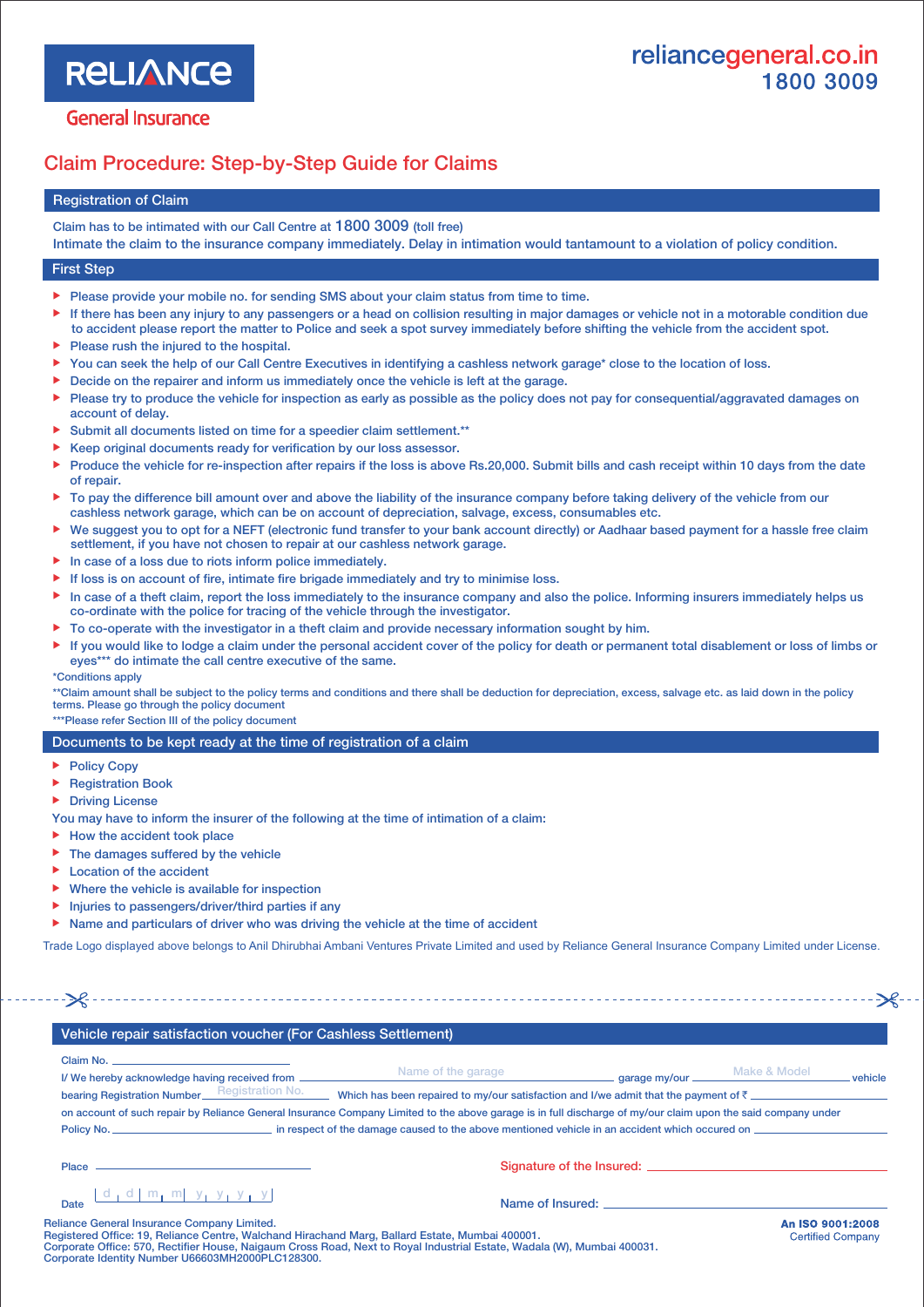## reliancegeneral.co.in 18003009

**RELIANCE** 

#### **General Insurance**

### Claim Procedure: Step-by-Step Guide for Claims

#### Registration of Claim

Claim has to be intimated with our Call Centre at 1800 3009 (toll free)

Intimate the claim to the insurance company immediately. Delay in intimation would tantamount to a violation of policy condition.

#### First Step

- $\blacktriangleright$ Please provide your mobile no. for sending SMS about your claim status from time to time.
- u If there has been any injury to any passengers or a head on collision resulting in major damages or vehicle not in a motorable condition due to accident please report the matter to Police and seek a spot survey immediately before shifting the vehicle from the accident spot.
- u Please rush the injured to the hospital.
- u You can seek the help of our Call Centre Executives in identifying a cashless network garage\* close to the location of loss.
- $\blacktriangleright$  Decide on the repairer and inform us immediately once the vehicle is left at the garage.
- Please try to produce the vehicle for inspection as early as possible as the policy does not pay for consequential/aggravated damages on account of delay.
- u Submit all documents listed on time for a speedier claim settlement.\*\*
- u Keep original documents ready for verification by our loss assessor.
- u Produce the vehicle for re-inspection after repairs if the loss is above Rs.20,000. Submit bills and cash receipt within 10 days from the date of repair.
- u To pay the difference bill amount over and above the liability of the insurance company before taking delivery of the vehicle from our cashless network garage, which can be on account of depreciation, salvage, excess, consumables etc.
- u We suggest you to opt for a NEFT (electronic fund transfer to your bank account directly) or Aadhaar based payment for a hassle free claim settlement, if you have not chosen to repair at our cashless network garage.
- $\blacktriangleright$  In case of a loss due to riots inform police immediately.
- $\blacktriangleright$  If loss is on account of fire, intimate fire brigade immediately and try to minimise loss.
- u In case of a theft claim, report the loss immediately to the insurance company and also the police. Informing insurers immediately helps us co-ordinate with the police for tracing of the vehicle through the investigator.
- u To co-operate with the investigator in a theft claim and provide necessary information sought by him.
- u If you would like to lodge a claim under the personal accident cover of the policy for death or permanent total disablement or loss of limbs or eyes\*\*\* do intimate the call centre executive of the same.

#### \*Conditions apply

\*\*Claim amount shall be subject to the policy terms and conditions and there shall be deduction for depreciation, excess, salvage etc. as laid down in the policy terms. Please go through the policy document

\*\*\*Please refer Section III of the policy document

#### Documents to be kept ready at the time of registration of a claim

- u Policy Copy
- u Registration Book
- u Driving License
- You may have to inform the insurer of the following at the time of intimation of a claim:
- $\blacktriangleright$  How the accident took place
- u The damages suffered by the vehicle
- u Location of the accident
- u Where the vehicle is available for inspection
- u Injuries to passengers/driver/third parties if any
- u Name and particulars of driver who was driving the vehicle at the time of accident

Trade Logo displayed above belongs to Anil Dhirubhai Ambani Ventures Private Limited and used by Reliance General Insurance Company Limited under License.

Vehicle repair satisfaction voucher (For Cashless Settlement)

| Claim No. _                                                                                                                                                                                      | Name of the garage |                           | garage my/our ________ Make & Model | vehicle |  |  |
|--------------------------------------------------------------------------------------------------------------------------------------------------------------------------------------------------|--------------------|---------------------------|-------------------------------------|---------|--|--|
| I/We hereby acknowledge having received from<br>bearing Registration Number_Registration No.<br>Which has been repaired to my/our satisfaction and I/we admit that the payment of $\bar{\tau}$ . |                    |                           |                                     |         |  |  |
| on account of such repair by Reliance General Insurance Company Limited to the above garage is in full discharge of my/our claim upon the said company under                                     |                    |                           |                                     |         |  |  |
| in respect of the damage caused to the above mentioned vehicle in an accident which occured on<br>Policy No. _                                                                                   |                    |                           |                                     |         |  |  |
|                                                                                                                                                                                                  |                    |                           |                                     |         |  |  |
| Place                                                                                                                                                                                            |                    | Signature of the Insured: |                                     |         |  |  |

---------------------------

Date  $\lfloor d+d+m_1+m_2\rfloor$  y y y y y y y y y y and the Name of Insured:

Signature of the Insured:

Reliance General Insurance Company Limited. Registered Office: 19, Reliance Centre, Walchand Hirachand Marg, Ballard Estate, Mumbai 400001. Corporate Office: 570, Rectifier House, Naigaum Cross Road, Next to Royal Industrial Estate, Wadala (W), Mumbai 400031. Corporate Identity Number U66603MH2000PLC128300.